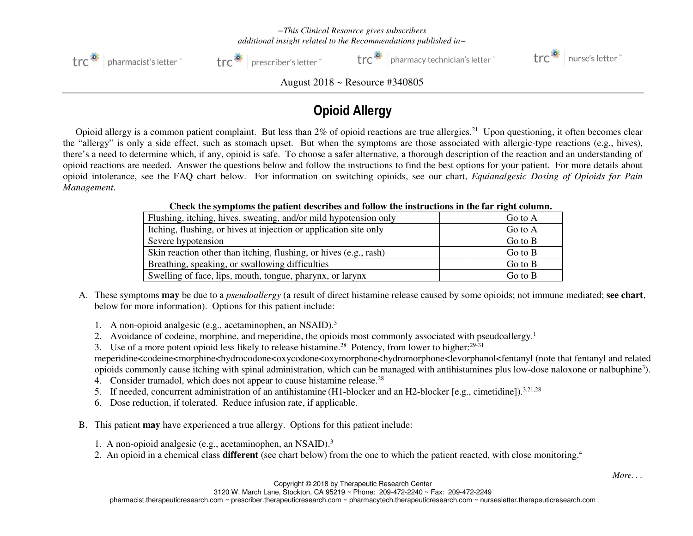*−This Clinical Resource gives subscribers additional insight related to the Recommendations published in−*



trc<sup>3</sup> | prescriber's letter

 $\mathsf{tr} \mathsf{c}^*$  | pharmacy technician's letter  $\mathsf{r}$ 



August 2018 ~ Resource #340805

## Opioid Allergy

Opioid allergy is a common patient complaint. But less than 2% of opioid reactions are true allergies.<sup>21</sup> Upon questioning, it often becomes clear the "allergy" is only a side effect, such as stomach upset. But when the symptoms are those associated with allergic-type reactions (e.g., hives), there's a need to determine which, if any, opioid is safe. To choose a safer alternative, a thorough description of the reaction and an understanding of opioid reactions are needed. Answer the questions below and follow the instructions to find the best options for your patient. For more details about opioid intolerance, see the FAQ chart below. For information on switching opioids, see our chart, *Equianalgesic Dosing of Opioids for Pain Management*.

| <u>Cheen the symptoms the patient acsertious and follow the motions network has been algun continuu</u> |             |  |
|---------------------------------------------------------------------------------------------------------|-------------|--|
| Flushing, itching, hives, sweating, and/or mild hypotension only                                        | Go to A     |  |
| Itching, flushing, or hives at injection or application site only                                       | Go to A     |  |
| Severe hypotension                                                                                      | $Go$ to $B$ |  |
| Skin reaction other than itching, flushing, or hives (e.g., rash)                                       | $Go$ to $B$ |  |
| Breathing, speaking, or swallowing difficulties                                                         | Go to $B$   |  |
| Swelling of face, lips, mouth, tongue, pharynx, or larynx                                               | Go to $B$   |  |
|                                                                                                         |             |  |

**Check the symptoms the patient describes and follow the instructions in the far right column.** 

- A. These symptoms **may** be due to a *pseudoallergy* (a result of direct histamine release caused by some opioids; not immune mediated; **see chart**, below for more information). Options for this patient include:
	- 1. A non-opioid analgesic (e.g., acetaminophen, an NSAID).<sup>3</sup>
	- 2. Avoidance of codeine, morphine, and meperidine, the opioids most commonly associated with pseudoallergy.<sup>1</sup>
	- 3. Use of a more potent opioid less likely to release histamine.<sup>28</sup> Potency, from lower to higher:<sup>29-31</sup>

meperidine<codeine<morphine<hydrocodone<oxycodone<oxymorphone<hydromorphone<levorphanol<fentanyl (note that fentanyl and related opioids commonly cause itching with spinal administration, which can be managed with antihistamines plus low-dose naloxone or nalbuphine<sup>3</sup>).

- 4. Consider tramadol, which does not appear to cause histamine release.<sup>28</sup>
- 5. If needed, concurrent administration of an antihistamine (H1-blocker and an H2-blocker [e.g., cimetidine]).<sup>3,21,28</sup>
- 6. Dose reduction, if tolerated. Reduce infusion rate, if applicable.
- B. This patient **may** have experienced a true allergy. Options for this patient include:
	- 1. A non-opioid analgesic (e.g., acetaminophen, an NSAID).<sup>3</sup>
	- 2. An opioid in a chemical class **different** (see chart below) from the one to which the patient reacted, with close monitoring.<sup>4</sup>

Copyright © 2018 by Therapeutic Research Center

3120 W. March Lane, Stockton, CA 95219 ~ Phone: 209-472-2240 ~ Fax: 209-472-2249

pharmacist.therapeuticresearch.com ~ prescriber.therapeuticresearch.com ~ pharmacytech.therapeuticresearch.com ~ nursesletter.therapeuticresearch.com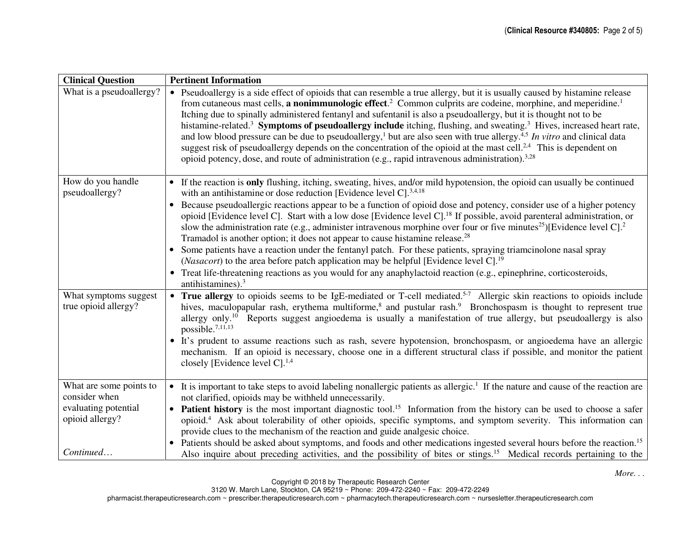| • Pseudoallergy is a side effect of opioids that can resemble a true allergy, but it is usually caused by histamine release                                                                                                                                                                                                                                                                                                                                                                                                                                                                                                                                                                            |  |  |
|--------------------------------------------------------------------------------------------------------------------------------------------------------------------------------------------------------------------------------------------------------------------------------------------------------------------------------------------------------------------------------------------------------------------------------------------------------------------------------------------------------------------------------------------------------------------------------------------------------------------------------------------------------------------------------------------------------|--|--|
| from cutaneous mast cells, <b>a nonimmunologic effect</b> . <sup>2</sup> Common culprits are codeine, morphine, and meperidine. <sup>1</sup><br>Itching due to spinally administered fentanyl and sufentanil is also a pseudoallergy, but it is thought not to be<br>histamine-related. <sup>3</sup> Symptoms of pseudoallergy include itching, flushing, and sweating. <sup>3</sup> Hives, increased heart rate,<br>and low blood pressure can be due to pseudoallergy, <sup>1</sup> but are also seen with true allergy. <sup>4,5</sup> In vitro and clinical data<br>suggest risk of pseudoallergy depends on the concentration of the opioid at the mast cell. <sup>2,4</sup> This is dependent on |  |  |
| If the reaction is only flushing, itching, sweating, hives, and/or mild hypotension, the opioid can usually be continued<br>$\bullet$<br>with an antihistamine or dose reduction [Evidence level C]. <sup>3,4,18</sup>                                                                                                                                                                                                                                                                                                                                                                                                                                                                                 |  |  |
| Because pseudoallergic reactions appear to be a function of opioid dose and potency, consider use of a higher potency<br>opioid [Evidence level C]. Start with a low dose [Evidence level C]. <sup>18</sup> If possible, avoid parenteral administration, or<br>slow the administration rate (e.g., administer intravenous morphine over four or five minutes <sup>25</sup> )[Evidence level C]. <sup>2</sup>                                                                                                                                                                                                                                                                                          |  |  |
| Some patients have a reaction under the fentanyl patch. For these patients, spraying triamcinolone nasal spray                                                                                                                                                                                                                                                                                                                                                                                                                                                                                                                                                                                         |  |  |
| • Treat life-threatening reactions as you would for any anaphylactoid reaction (e.g., epinephrine, corticosteroids,                                                                                                                                                                                                                                                                                                                                                                                                                                                                                                                                                                                    |  |  |
| • True allergy to opioids seems to be IgE-mediated or T-cell mediated. <sup>5-7</sup> Allergic skin reactions to opioids include<br>hives, maculopapular rash, erythema multiforme, <sup>8</sup> and pustular rash. <sup>9</sup> Bronchospasm is thought to represent true<br>allergy only. <sup>10</sup> Reports suggest angioedema is usually a manifestation of true allergy, but pseudoallergy is also<br>• It's prudent to assume reactions such as rash, severe hypotension, bronchospasm, or angioedema have an allergic<br>mechanism. If an opioid is necessary, choose one in a different structural class if possible, and monitor the patient                                               |  |  |
| • It is important to take steps to avoid labeling nonallergic patients as allergic. <sup>1</sup> If the nature and cause of the reaction are                                                                                                                                                                                                                                                                                                                                                                                                                                                                                                                                                           |  |  |
|                                                                                                                                                                                                                                                                                                                                                                                                                                                                                                                                                                                                                                                                                                        |  |  |
| <b>Patient history</b> is the most important diagnostic tool. <sup>15</sup> Information from the history can be used to choose a safer<br>opioid. <sup>4</sup> Ask about tolerability of other opioids, specific symptoms, and symptom severity. This information can                                                                                                                                                                                                                                                                                                                                                                                                                                  |  |  |
| Patients should be asked about symptoms, and foods and other medications ingested several hours before the reaction. <sup>15</sup><br>Also inquire about preceding activities, and the possibility of bites or stings. <sup>15</sup> Medical records pertaining to the                                                                                                                                                                                                                                                                                                                                                                                                                                 |  |  |
|                                                                                                                                                                                                                                                                                                                                                                                                                                                                                                                                                                                                                                                                                                        |  |  |

Copyright © 2018 by Therapeutic Research Center 3120 W. March Lane, Stockton, CA 95219 ~ Phone: 209-472-2240 ~ Fax: 209-472-2249

pharmacist.therapeuticresearch.com ~ prescriber.therapeuticresearch.com ~ pharmacytech.therapeuticresearch.com ~ nursesletter.therapeuticresearch.com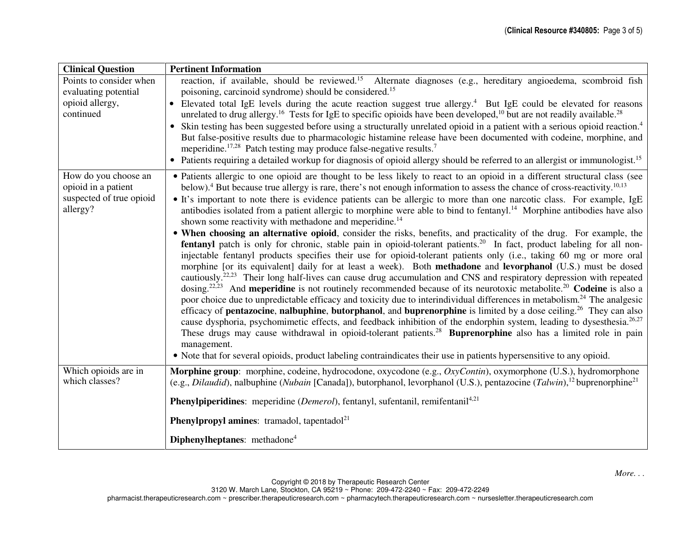| <b>Clinical Question</b>                                                            | <b>Pertinent Information</b>                                                                                                                                                                                                                                                                                                                                                                                                                                                                                                                                                                                                                                                                                                                                                                                                                                                                                                                                                                                                                                                                                                                                                                                                                                                                                                                                                                                                                                                                                     |  |  |  |
|-------------------------------------------------------------------------------------|------------------------------------------------------------------------------------------------------------------------------------------------------------------------------------------------------------------------------------------------------------------------------------------------------------------------------------------------------------------------------------------------------------------------------------------------------------------------------------------------------------------------------------------------------------------------------------------------------------------------------------------------------------------------------------------------------------------------------------------------------------------------------------------------------------------------------------------------------------------------------------------------------------------------------------------------------------------------------------------------------------------------------------------------------------------------------------------------------------------------------------------------------------------------------------------------------------------------------------------------------------------------------------------------------------------------------------------------------------------------------------------------------------------------------------------------------------------------------------------------------------------|--|--|--|
| Points to consider when<br>evaluating potential                                     | reaction, if available, should be reviewed. <sup>15</sup> Alternate diagnoses (e.g., hereditary angioedema, scombroid fish<br>poisoning, carcinoid syndrome) should be considered. <sup>15</sup>                                                                                                                                                                                                                                                                                                                                                                                                                                                                                                                                                                                                                                                                                                                                                                                                                                                                                                                                                                                                                                                                                                                                                                                                                                                                                                                 |  |  |  |
| opioid allergy,<br>continued                                                        | Elevated total IgE levels during the acute reaction suggest true allergy. <sup>4</sup> But IgE could be elevated for reasons<br>unrelated to drug allergy. <sup>16</sup> Tests for IgE to specific opioids have been developed, <sup>10</sup> but are not readily available. <sup>28</sup>                                                                                                                                                                                                                                                                                                                                                                                                                                                                                                                                                                                                                                                                                                                                                                                                                                                                                                                                                                                                                                                                                                                                                                                                                       |  |  |  |
|                                                                                     | • Skin testing has been suggested before using a structurally unrelated opioid in a patient with a serious opioid reaction. <sup>4</sup><br>But false-positive results due to pharmacologic histamine release have been documented with codeine, morphine, and<br>meperidine. <sup>17,28</sup> Patch testing may produce false-negative results. <sup>7</sup><br>• Patients requiring a detailed workup for diagnosis of opioid allergy should be referred to an allergist or immunologist. <sup>15</sup>                                                                                                                                                                                                                                                                                                                                                                                                                                                                                                                                                                                                                                                                                                                                                                                                                                                                                                                                                                                                        |  |  |  |
| How do you choose an<br>opioid in a patient<br>suspected of true opioid<br>allergy? | • Patients allergic to one opioid are thought to be less likely to react to an opioid in a different structural class (see<br>below). <sup>4</sup> But because true allergy is rare, there's not enough information to assess the chance of cross-reactivity. <sup>10,13</sup><br>• It's important to note there is evidence patients can be allergic to more than one narcotic class. For example, IgE<br>antibodies isolated from a patient allergic to morphine were able to bind to fentanyl. <sup>14</sup> Morphine antibodies have also<br>shown some reactivity with methadone and meperidine. <sup>14</sup>                                                                                                                                                                                                                                                                                                                                                                                                                                                                                                                                                                                                                                                                                                                                                                                                                                                                                              |  |  |  |
|                                                                                     | • When choosing an alternative opioid, consider the risks, benefits, and practicality of the drug. For example, the<br><b>fentanyl</b> patch is only for chronic, stable pain in opioid-tolerant patients. <sup>20</sup> In fact, product labeling for all non-<br>injectable fentanyl products specifies their use for opioid-tolerant patients only (i.e., taking 60 mg or more oral<br>morphine [or its equivalent] daily for at least a week). Both methadone and levorphanol (U.S.) must be dosed<br>cautiously. <sup>22,23</sup> Their long half-lives can cause drug accumulation and CNS and respiratory depression with repeated<br>dosing. <sup>22,23</sup> And <b>meperidine</b> is not routinely recommended because of its neurotoxic metabolite. <sup>20</sup> Codeine is also a<br>poor choice due to unpredictable efficacy and toxicity due to interindividual differences in metabolism. <sup>24</sup> The analgesic<br>efficacy of <b>pentazocine</b> , <b>nalbuphine</b> , <b>butorphanol</b> , and <b>buprenorphine</b> is limited by a dose ceiling. <sup>26</sup> They can also<br>cause dysphoria, psychomimetic effects, and feedback inhibition of the endorphin system, leading to dysesthesia. <sup>26,27</sup><br>These drugs may cause withdrawal in opioid-tolerant patients. <sup>28</sup> Buprenorphine also has a limited role in pain<br>management.<br>• Note that for several opioids, product labeling contraindicates their use in patients hypersensitive to any opioid. |  |  |  |
| Which opioids are in<br>which classes?                                              | Morphine group: morphine, codeine, hydrocodone, oxycodone (e.g., OxyContin), oxymorphone (U.S.), hydromorphone<br>(e.g., <i>Dilaudid</i> ), nalbuphine ( <i>Nubain</i> [Canada]), butorphanol, levorphanol (U.S.), pentazocine ( <i>Talwin</i> ), <sup>12</sup> buprenorphine <sup>21</sup>                                                                                                                                                                                                                                                                                                                                                                                                                                                                                                                                                                                                                                                                                                                                                                                                                                                                                                                                                                                                                                                                                                                                                                                                                      |  |  |  |
|                                                                                     | <b>Phenylpiperidines:</b> meperidine ( <i>Demerol</i> ), fentanyl, sufentanil, remifentanil <sup>4,21</sup>                                                                                                                                                                                                                                                                                                                                                                                                                                                                                                                                                                                                                                                                                                                                                                                                                                                                                                                                                                                                                                                                                                                                                                                                                                                                                                                                                                                                      |  |  |  |
|                                                                                     | <b>Phenylpropyl amines:</b> tramadol, tapentadol <sup>21</sup>                                                                                                                                                                                                                                                                                                                                                                                                                                                                                                                                                                                                                                                                                                                                                                                                                                                                                                                                                                                                                                                                                                                                                                                                                                                                                                                                                                                                                                                   |  |  |  |
|                                                                                     | Diphenylheptanes: methadone <sup>4</sup>                                                                                                                                                                                                                                                                                                                                                                                                                                                                                                                                                                                                                                                                                                                                                                                                                                                                                                                                                                                                                                                                                                                                                                                                                                                                                                                                                                                                                                                                         |  |  |  |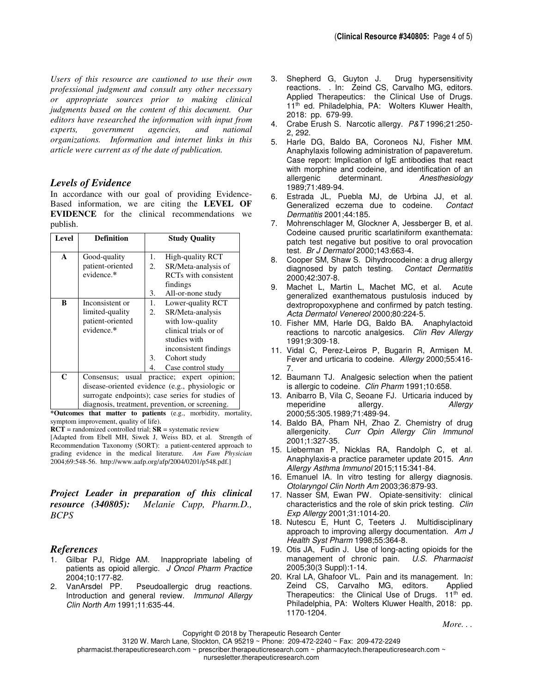*Users of this resource are cautioned to use their own professional judgment and consult any other necessary or appropriate sources prior to making clinical judgments based on the content of this document. Our editors have researched the information with input from experts, government agencies, and national organizations. Information and internet links in this article were current as of the date of publication.*

## *Levels of Evidence*

In accordance with our goal of providing Evidence-Based information, we are citing the **LEVEL OF EVIDENCE** for the clinical recommendations we publish.

| Level        | <b>Definition</b>                                |    | <b>Study Quality</b>        |
|--------------|--------------------------------------------------|----|-----------------------------|
| $\mathbf{A}$ | Good-quality                                     | 1. | High-quality RCT            |
|              | patient-oriented                                 | 2. | SR/Meta-analysis of         |
|              | evidence.*                                       |    | <b>RCTs</b> with consistent |
|              |                                                  |    | findings                    |
|              |                                                  | 3. | All-or-none study           |
| B            | Inconsistent or                                  | 1. | Lower-quality RCT           |
|              | limited-quality                                  | 2. | SR/Meta-analysis            |
|              | patient-oriented                                 |    | with low-quality            |
|              | evidence.*                                       |    | clinical trials or of       |
|              |                                                  |    | studies with                |
|              |                                                  |    | inconsistent findings       |
|              |                                                  | 3. | Cohort study                |
|              |                                                  | 4. | Case control study          |
| C            | Consensus; usual practice; expert opinion;       |    |                             |
|              | disease-oriented evidence (e.g., physiologic or  |    |                             |
|              | surrogate endpoints); case series for studies of |    |                             |
|              | diagnosis, treatment, prevention, or screening.  |    |                             |

**\*Outcomes that matter to patients** (e.g., morbidity, mortality, symptom improvement, quality of life).

**RCT** = randomized controlled trial; **SR** = systematic review

[Adapted from Ebell MH, Siwek J, Weiss BD, et al. Strength of Recommendation Taxonomy (SORT): a patient-centered approach to grading evidence in the medical literature. *Am Fam Physician* 2004;69:548-56. http://www.aafp.org/afp/2004/0201/p548.pdf.]

*Project Leader in preparation of this clinical resource (340805): Melanie Cupp, Pharm.D., BCPS*

## *References*

- 1. Gilbar PJ, Ridge AM. Inappropriate labeling of patients as opioid allergic. J Oncol Pharm Practice 2004;10:177-82.<br>2. VanArsdel PP.
- Pseudoallergic drug reactions. Introduction and general review. Immunol Allergy Clin North Am 1991;11:635-44.
- 3. Shepherd G, Guyton J. Drug hypersensitivity reactions. . In: Zeind CS, Carvalho MG, editors. Applied Therapeutics: the Clinical Use of Drugs. 11<sup>th</sup> ed. Philadelphia, PA: Wolters Kluwer Health, 2018: pp. 679-99.
- 4. Crabe Erush S. Narcotic allergy. P&T 1996;21:250- 2, 292.
- 5. Harle DG, Baldo BA, Coroneos NJ, Fisher MM. Anaphylaxis following administration of papaveretum. Case report: Implication of IgE antibodies that react with morphine and codeine, and identification of an allergenic determinant. Anesthesiology 1989;71:489-94.
- 6. Estrada JL, Puebla MJ, de Urbina JJ, et al. Generalized eczema due to codeine. Contact Dermatitis 2001;44:185.
- 7. Mohrenschlager M, Glockner A, Jessberger B, et al. Codeine caused pruritic scarlatiniform exanthemata: patch test negative but positive to oral provocation test. Br J Dermatol 2000;143:663-4.
- 8. Cooper SM, Shaw S. Dihydrocodeine: a drug allergy diagnosed by patch testing. Contact Dermatitis 2000;42:307-8.
- 9. Machet L, Martin L, Machet MC, et al. Acute generalized exanthematous pustulosis induced by dextropropoxyphene and confirmed by patch testing. Acta Dermatol Venereol 2000;80:224-5.
- 10. Fisher MM, Harle DG, Baldo BA. Anaphylactoid reactions to narcotic analgesics. Clin Rev Allergy 1991;9:309-18.
- 11. Vidal C, Perez-Leiros P, Bugarin R, Armisen M. Fever and urticaria to codeine. Allergy 2000;55:416- 7.
- 12. Baumann TJ. Analgesic selection when the patient is allergic to codeine. Clin Pharm 1991;10:658.
- 13. Anibarro B, Vila C, Seoane FJ. Urticaria induced by meperidine allergy. Allergy 2000;55:305.1989;71:489-94.
- 14. Baldo BA, Pham NH, Zhao Z. Chemistry of drug<br>allergenicity. Curr Opin Allergy Clin Immunol Curr Opin Allergy Clin Immunol 2001;1:327-35.
- 15. Lieberman P, Nicklas RA, Randolph C, et al. Anaphylaxis-a practice parameter update 2015. Ann Allergy Asthma Immunol 2015;115:341-84.
- 16. Emanuel IA. In vitro testing for allergy diagnosis. Otolaryngol Clin North Am 2003;36:879-93.
- 17. Nasser SM, Ewan PW. Opiate-sensitivity: clinical characteristics and the role of skin prick testing. Clin Exp Allergy 2001;31:1014-20.
- 18. Nutescu E, Hunt C, Teeters J. Multidisciplinary approach to improving allergy documentation. Am  $J$ Health Syst Pharm 1998;55:364-8.
- 19. Otis JA, Fudin J. Use of long-acting opioids for the management of chronic pain. U.S. Pharmacist 2005;30(3 Suppl):1-14.
- 20. Kral LA, Ghafoor VL. Pain and its management. In: Zeind CS, Carvalho MG, editors. Applied Therapeutics: the Clinical Use of Drugs.  $11<sup>th</sup>$  ed. Philadelphia, PA: Wolters Kluwer Health, 2018: pp. 1170-1204.

pharmacist.therapeuticresearch.com ~ prescriber.therapeuticresearch.com ~ pharmacytech.therapeuticresearch.com ~

nursesletter.therapeuticresearch.com

Copyright © 2018 by Therapeutic Research Center 3120 W. March Lane, Stockton, CA 95219 ~ Phone: 209-472-2240 ~ Fax: 209-472-2249